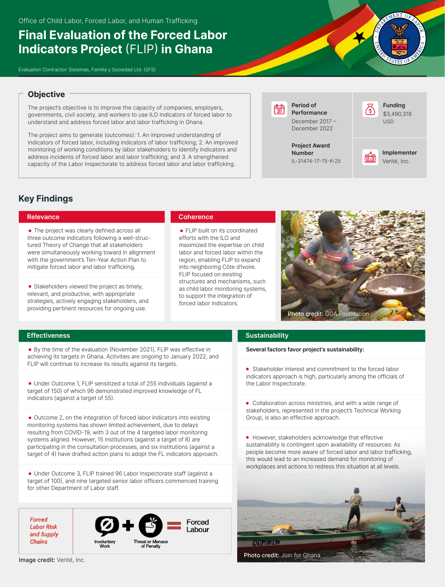# **Final Evaluation of the Forced Labor Indicators Project** (FLIP) **in Ghana**

Evaluation Contractor: Sistemas, Familia y Sociedad Ltd. (SFS)

# **Objective**

The project's objective is to improve the capacity of companies, employers, governments, civil society, and workers to use ILO indicators of forced labor to understand and address forced labor and labor trafficking in Ghana.

The project aims to generate (outcomes): 1. An improved understanding of indicators of forced labor, including indicators of labor trafficking; 2. An improved monitoring of working conditions by labor stakeholders to identify indicators and address incidents of forced labor and labor trafficking; and 3. A strengthened capacity of the Labor Inspectorate to address forced labor and labor trafficking.

**Period of** निनि **Performance** December 2017 – December 2022

> **Project Award Number** IL-31474-17-75-K-25





# **Key Findings**

# **Relevance**

• The project was clearly defined across all three outcome indicators following a well-structured Theory of Change that all stakeholders were simultaneously working toward in allignment with the government's Ten-Year Action Plan to mitigate forced labor and labor trafficking.

• Stakeholders viewed the project as timely, relevant, and productive, with appropriate strategies, actively engaging stakeholders, and providing pertinent resources for ongoing use.

# **Coherence**

FLIP built on its coordinated efforts with the ILO and maximized the expertise on child labor and forced labor within the region, enabling FLIP to expand into neighboring Côte d'Ivoire. FLIP focused on existing structures and mechanisms, such as child labor monitoring systems, to support the integration of forced labor indicators.



# **Effectiveness**

By the time of the evaluation (November 2021), FLIP was effective in achieving its targets in Ghana. Activities are ongoing to January 2022, and FLIP will continue to increase its results against its targets.

Under Outcome 1, FLIP sensitized a total of 255 individuals (against a target of 150) of which 96 demonstrated improved knowledge of FL indicators (against a target of 55).

Outcome 2, on the integration of forced labor indicators into existing monitoring systems has shown limited achievement, due to delays resulting from COVID-19, with 3 out of the 4 targeted labor monitoring systems aligned. However, 15 institutions (against a target of 8) are participating in the consultation processes, and six institutions (against a target of 4) have drafted action plans to adopt the FL indicators approach.

Under Outcome 3, FLIP trained 96 Labor Inspectorate staff (against a target of 100), and nine targeted senior labor officers commenced training for other Department of Labor staff.

**Forced Labor Risk** and Supply **Chains** 



### Image credit: Verité, Inc.

# **Sustainability**

**Several factors favor project's sustainability:**

Stakeholder interest and commitment to the forced labor indicators approach is high, particularly among the officials of the Labor Inspectorate.

Collaboration across ministries, and with a wide range of stakeholders, represented in the project's Technical Working Group, is also an effective approach.

However, stakeholders acknowledge that effective sustainability is contingent upon availability of resources: As people become more aware of forced labor and labor trafficking, this would lead to an increased demand for monitoring of workplaces and actions to redress this situation at all levels.